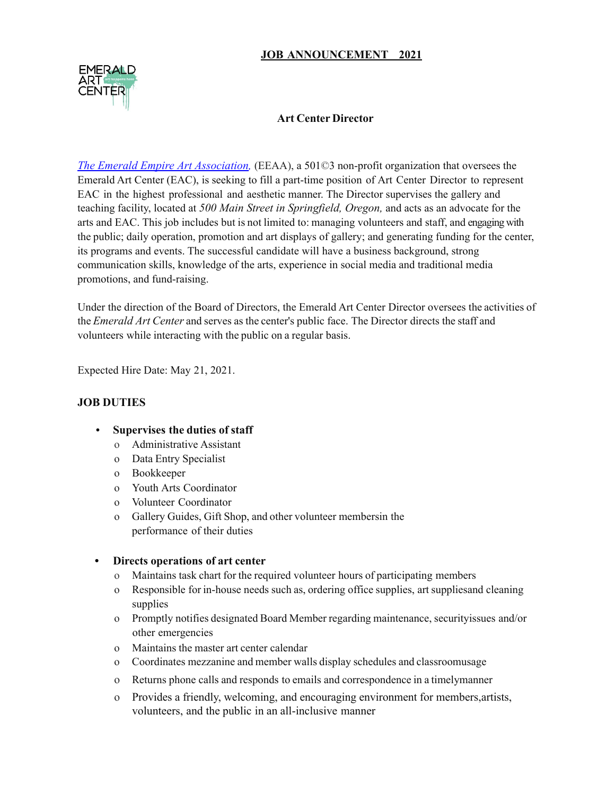# **JOB ANNOUNCEMENT 2021**



# **Art Center Director**

*The Emerald Empire Art Association,* (EEAA), a 501©3 non-profit organization that oversees the Emerald Art Center (EAC), is seeking to fill a part-time position of Art Center Director to represent EAC in the highest professional and aesthetic manner. The Director supervises the gallery and teaching facility, located at *500 Main Street in Springfield, Oregon,* and acts as an advocate for the arts and EAC. This job includes but is not limited to: managing volunteers and staff, and engaging with the public; daily operation, promotion and art displays of gallery; and generating funding for the center, its programs and events. The successful candidate will have a business background, strong communication skills, knowledge of the arts, experience in social media and traditional media promotions, and fund-raising.

Under the direction of the Board of Directors, the Emerald Art Center Director oversees the activities of the *Emerald Art Center* and serves as the center's public face. The Director directs the staff and volunteers while interacting with the public on a regular basis.

Expected Hire Date: May 21, 2021.

### **JOB DUTIES**

- **• Supervises the duties of staff**
	- o Administrative Assistant
	- o Data Entry Specialist
	- o Bookkeeper
	- o Youth Arts Coordinator
	- o Volunteer Coordinator
	- o Gallery Guides, Gift Shop, and other volunteer membersin the performance of their duties

#### **• Directs operations of art center**

- o Maintains task chart for the required volunteer hours of participating members
- o Responsible for in-house needs such as, ordering office supplies, art suppliesand cleaning supplies
- o Promptly notifies designated Board Member regarding maintenance, securityissues and/or other emergencies
- o Maintains the master art center calendar
- o Coordinates mezzanine and member walls display schedules and classroomusage
- o Returns phone calls and responds to emails and correspondence in a timelymanner
- o Provides a friendly, welcoming, and encouraging environment for members,artists, volunteers, and the public in an all-inclusive manner